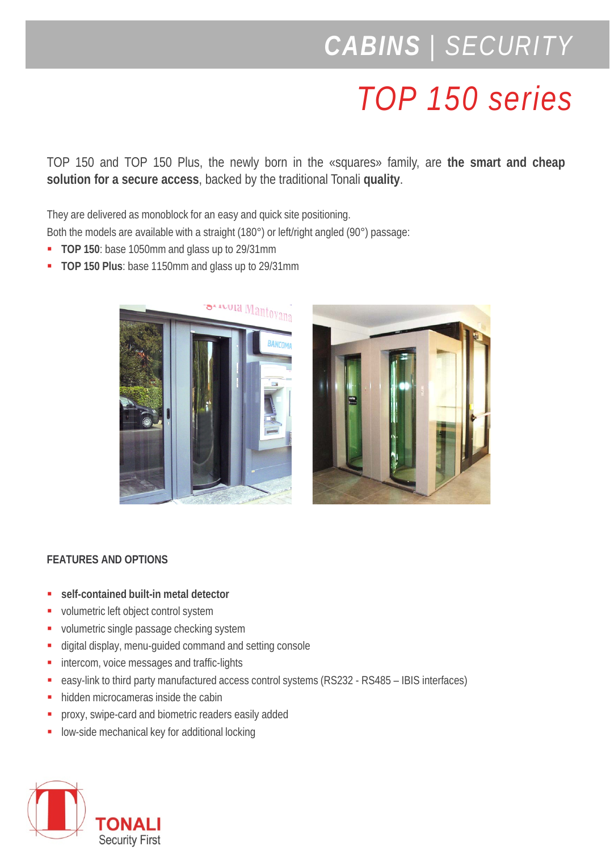## *CABINS | SECURITY*

## *TOP 150 series*

TOP 150 and TOP 150 Plus, the newly born in the «squares» family, are **the smart and cheap solution for a secure access**, backed by the traditional Tonali **quality**.

They are delivered as monoblock for an easy and quick site positioning.

Both the models are available with a straight (180°) or left/right angled (90°) passage:

- **TOP 150**: base 1050mm and glass up to 29/31mm
- **TOP 150 Plus**: base 1150mm and glass up to 29/31mm





## **FEATURES AND OPTIONS**

- **self-contained built-in metal detector**
- volumetric left object control system
- volumetric single passage checking system
- digital display, menu-guided command and setting console
- **intercom, voice messages and traffic-lights**
- easy-link to third party manufactured access control systems (RS232 RS485 IBIS interfaces)
- hidden microcameras inside the cabin
- **PEDRIX** proxy, swipe-card and biometric readers easily added
- low-side mechanical key for additional locking